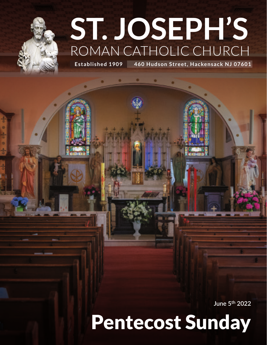# **ST. JOSEPH'S** ROMAN CATHOLIC CHURCH

**Established 1909 460 Hudson Street, Hackensack NJ 07601**

**June 5th 2022** 

# Pentecost Sunday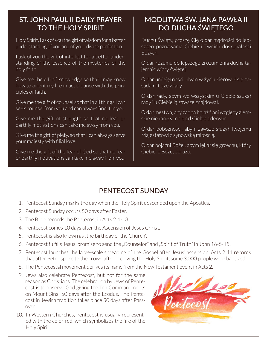## ST. JOHN PAUL II DAILY PRAYER TO THE HOLY SPIRIT

Holy Spirit, I ask of you the gift of wisdom for a better understanding of you and of your divine perfection.

I ask of you the gift of intellect for a better understanding of the essence of the mysteries of the holy faith.

Give me the gift of knowledge so that I may know how to orient my life in accordance with the principles of faith.

Give me the gift of counsel so that in all things I can seek counsel from you and can always find it in you.

Give me the gift of strength so that no fear or earthly motivations can take me away from you.

Give me the gift of piety, so that I can always serve your majesty with filial love.

Give me the gift of the fear of God so that no fear or earthly motivations can take me away from you.

## MODLITWA ŚW. JANA PAWŁA II DO DUCHA ŚWIĘTEGO

Duchu Święty, proszę Cię o dar mądrości do lepszego poznawania Ciebie i Twoich doskonałości Bożych.

O dar rozumu do lepszego zrozumienia ducha tajemnic wiary świętej.

O dar umiejętności, abym w życiu kierował się zasadami tejże wiary.

O dar rady, abym we wszystkim u Ciebie szukał rady i u Ciebie ją zawsze znajdował.

O dar męstwa, aby żadna bojaźń ani względy ziemskie nie mogły mnie od Ciebie oderwać.

O dar pobożności, abym zawsze służył Twojemu Majestatowi z synowską miłością.

O dar bojaźni Bożej, abym lękał się grzechu, który Ciebie, o Boże, obraża.

## PENTECOST SUNDAY

- 1. Pentecost Sunday marks the day when the Holy Spirit descended upon the Apostles.
- 2. Pentecost Sunday occurs 50 days after Easter.
- 3. The Bible records the Pentecost in Acts 2:1-13.
- 4. Pentecost comes 10 days after the Ascension of Jesus Christ.
- 5. Pentecost is also known as "the birthday of the Church".
- 6. Pentecost fulfills Jesus' promise to send the "Counselor" and "Spirit of Truth" in John 16-5-15.
- 7. Pentecost launches the large-scale spreading of the Gospel after Jesus' ascension. Acts 2:41 records that after Peter spoke to the crowd after receiving the Holy Spirit, some 3,000 people were baptized.
- 8. The Pentecostal movement derives its name from the New Testament event in Acts 2.
- 9. Jews also celebrate Pentecost, but not for the same reason as Christians. The celebration by Jews of Pentecost is to observe God giving the Ten Commandments on Mount Sinai 50 days after the Exodus. The Pentecost in Jewish tradition takes place 50 days after Passover.
- 10. In Western Churches, Pentecost is usually represented with the color red, which symbolizes the fire of the Holy Spirit.

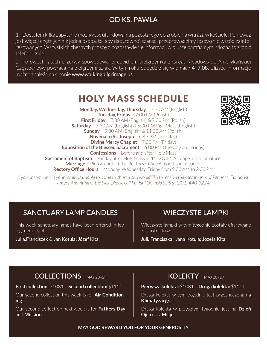## OD KS. PAWŁA

1. Dostałem kilka zapytań o możliwość ufundowania pozostałego do zrobienia witraża w kościele. Ponieważ jest więcej chętnych niż jedna osoba, to, aby dać "równe" szanse, przeprowadzimy losowanie wśród zainteresowanych. Wszystkich chętnych proszę o pozostawienie informacji w biurze parafialnym. Można to zrobić telefonicznie.

2. Po dwóch latach przerwy spowodowanej covid-em pielgrzymka z Great Meadows do Amerykańskiej Częstochowy powraca na pielgrzymi szlak. W tym roku odbędzie się w dniach 4–7.08. Bliższe informacje można znaleźć na stronie www.walkingpilgrimage.us.

## **HOLY MASS SCHEDULE**

**Monday, Wednesday, Thursday** 7:30 AM (English) **Tuesday, Friday** 7:00 PM (Polish) **First Friday** 7:30 AM (English) & 7:00 PM (Polish) **Saturday** 7:30 AM (English) & 5:30 PM Vigil Mass (English) **Sunday** 9:30 AM (English) & 11:00 AM (Polish) **Novena to St. Joseph** 6:45 PM (Tuesday) **Divine Mercy Chaplet** 7:30 PM (Friday) **Exposition of the Blessed Sacrament** 6:00 PM (Tuesday and Friday) **Confessions** Before and after Holy Mass **Sacrament of Baptism** Sunday after Holy Mass at 11:00 AM. Arrange at parish office. **Marriage** Please contact the Rectory Office 6 months in advance. **Rectory Office Hours** Monday, Wednesday, Friday from 9:00 AM to 2:00 PM

*If you or someone in your family is unable to come to church and would like to receive the sacraments of Penance, Eucharist, and/or Anointing of the Sick, please call Fr. Paul Dolinski SDS at (201) 440-3224*

## SANCTUARY LAMP CANDLES

This week sanctuary lamps have been offered in loving memory of:

Julia,Franciszek & Jan Kotula; Józef Kita.

## WIECZYSTE LAMPKI

Wieczyste lampki w tym tygodniu zostały ofiarowane za spokój dusz:

Juli, Franciszka i Jana Kotula; Józefa Kita.

## COLLECTIONS MAY 28-29

**First collection:** \$1081 **Second collection:** \$1111

Our second collection this week is for **Air Conditioning**.

Our second collection next week is for **Fathers Day**  and **Mission**.

## KOLEKTY MAJ 28-29

#### **Pierwsza kolekta:** \$1081 **Druga kolekta:** \$1111

Druga kolekta w tym tygodniu jest przeznaczona na **Klimatyzację.**

Druga kolekta w przyszłym tygodniu jest na **Dzień Ojca** oraz **Misje**.

**MAY GOD REWARD YOU FOR YOUR GENEROSITY**